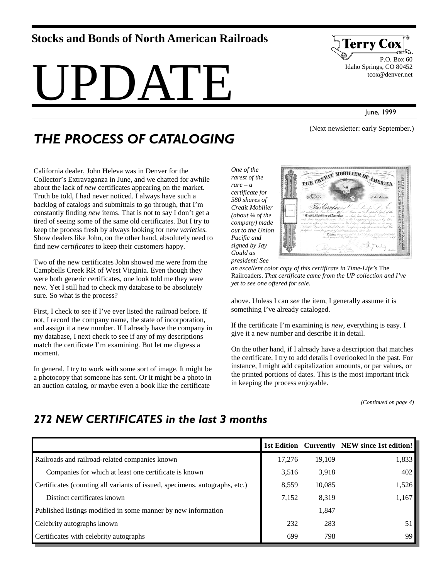#### **Stocks and Bonds of North American Railroads**

# PDATE.



 P.O. Box 60 Idaho Springs, CO 80452 tcox@denver.net

June, 1999

## *THE PROCESS OF CATALOGING*

backlog of catalogs and submittals to go through, that I'm constantly finding *new* items. That is not to say I don't get a tired of seeing some of the same old certificates. But I try to keep the process fresh by always looking for new *varieties.* Show dealers like John, on the other hand, absolutely need to

Two of the new certificates John showed me were from the Campbells Creek RR of West Virginia. Even though they were both generic certificates, one look told me they were new. Yet I still had to check my database to be absolutely

First, I check to see if I've ever listed the railroad before. If not, I record the company name, the state of incorporation, and assign it a new number. If I already have the company in

find new *certificates* to keep their customers happy.

sure. So what is the process?

California dealer, John Heleva was in Denver for the Collector's Extravaganza in June, and we chatted for awhile about the lack of *new* certificates appearing on the market. Truth be told, I had never noticed. I always have such a *One of the rarest of the rare – a certificate for* 

*Pacific and* 

*Gould as* 



*an excellent color copy of this certificate in Time-Life's* The Railroaders. *That certificate came from the UP collection and I've yet to see one offered for sale.* 

above. Unless I can *see* the item, I generally assume it is something I've already cataloged.

If the certificate I'm examining is *new,* everything is easy. I give it a new number and describe it in detail.

On the other hand, if I already have a description that matches the certificate, I try to add details I overlooked in the past. For instance, I might add capitalization amounts, or par values, or the printed portions of dates. This is the most important trick in keeping the process enjoyable.

*(Continued on page 4)* 

#### my database, I next check to see if any of my descriptions match the certificate I'm examining. But let me digress a moment.

In general, I try to work with some sort of image. It might be a photocopy that someone has sent. Or it might be a photo in an auction catalog, or maybe even a book like the certificate

#### *272 NEW CERTIFICATES in the last 3 months*

|                                                                             |        |        | 1st Edition Currently NEW since 1st edition! |
|-----------------------------------------------------------------------------|--------|--------|----------------------------------------------|
| Railroads and railroad-related companies known                              | 17,276 | 19.109 | 1,833                                        |
| Companies for which at least one certificate is known                       | 3,516  | 3,918  | 402                                          |
| Certificates (counting all variants of issued, specimens, autographs, etc.) | 8,559  | 10,085 | 1,526                                        |
| Distinct certificates known                                                 | 7,152  | 8,319  | 1,167                                        |
| Published listings modified in some manner by new information               |        | 1,847  |                                              |
| Celebrity autographs known                                                  | 232    | 283    |                                              |
| Certificates with celebrity autographs                                      | 699    | 798    | 99                                           |

(Next newsletter: early September.)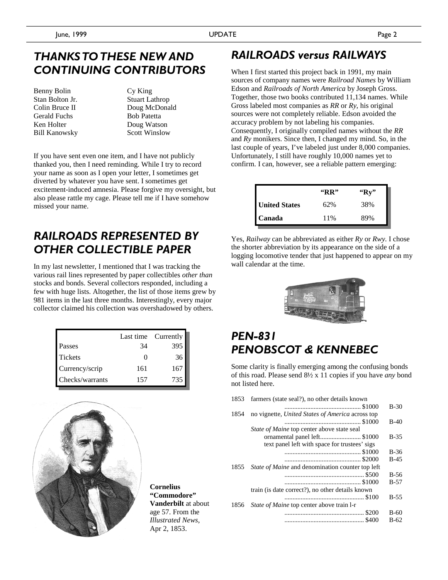#### *THANKS TO THESE NEW AND CONTINUING CONTRIBUTORS*

Benny Bolin Stan Bolton Jr. Colin Bruce II Gerald Fuchs Ken Holter Bill Kanowsky Cy King Stuart Lathrop Doug McDonald Bob Patetta Doug Watson Scott Winslow

If you have sent even one item, and I have not publicly thanked you, then I need reminding. While I try to record your name as soon as I open your letter, I sometimes get diverted by whatever you have sent. I sometimes get excitement-induced amnesia. Please forgive my oversight, but also please rattle my cage. Please tell me if I have somehow missed your name.

#### *RAILROADS REPRESENTED BY OTHER COLLECTIBLE PAPER*

In my last newsletter, I mentioned that I was tracking the various rail lines represented by paper collectibles *other than* stocks and bonds. Several collectors responded, including a few with huge lists. Altogether, the list of those items grew by 981 items in the last three months. Interestingly, every major collector claimed his collection was overshadowed by others.

|                 | Last time | Currently |
|-----------------|-----------|-----------|
| Passes          | 34        | 395       |
| <b>Tickets</b>  |           | 36        |
| Currency/scrip  | 161       | 167       |
| Checks/warrants | 157       | 735       |



**Cornelius "Commodore" Vanderbilt** at about age 57. From the *Illustrated News*, Apr 2, 1853.

#### *RAILROADS versus RAILWAYS*

When I first started this project back in 1991, my main sources of company names were *Railroad Names* by William Edson and *Railroads of North America* by Joseph Gross. Together, those two books contributed 11,134 names. While Gross labeled most companies as *RR* or *Ry*, his original sources were not completely reliable. Edson avoided the accuracy problem by not labeling his companies. Consequently, I originally compiled names without the *RR* and *Ry* monikers. Since then, I changed my mind. So, in the last couple of years, I've labeled just under 8,000 companies. Unfortunately, I still have roughly 10,000 names yet to confirm. I can, however, see a reliable pattern emerging:

|                      | "RR" | "Rv" |
|----------------------|------|------|
| <b>United States</b> | 62%  | 38%  |
| Canada               | 11%  | 89%  |

Yes, *Railway* can be abbreviated as either *Ry* or *Rwy.* I chose the shorter abbreviation by its appearance on the side of a logging locomotive tender that just happened to appear on my wall calendar at the time.



## *PEN-831 PENOBSCOT & KENNEBEC*

Some clarity is finally emerging among the confusing bonds of this road. Please send 8½ x 11 copies if you have *any* bond not listed here.

| 1853 | farmers (state seal?), no other details known    |        |
|------|--------------------------------------------------|--------|
|      |                                                  | $B-30$ |
| 1854 | no vignette, United States of America across top |        |
|      |                                                  | $B-40$ |
|      | State of Maine top center above state seal       |        |
|      | ornamental panel left \$1000                     | $B-35$ |
|      | text panel left with space for trustees' sigs    |        |
|      |                                                  | $B-36$ |
|      |                                                  | $B-45$ |
| 1855 | State of Maine and denomination counter top left |        |
|      |                                                  | B-56   |
|      |                                                  | B-57   |
|      | train (is date correct?), no other details known |        |
|      |                                                  | $B-55$ |
| 1856 | State of Maine top center above train 1-r        |        |
|      |                                                  | B-60   |
|      |                                                  | B-62   |
|      |                                                  |        |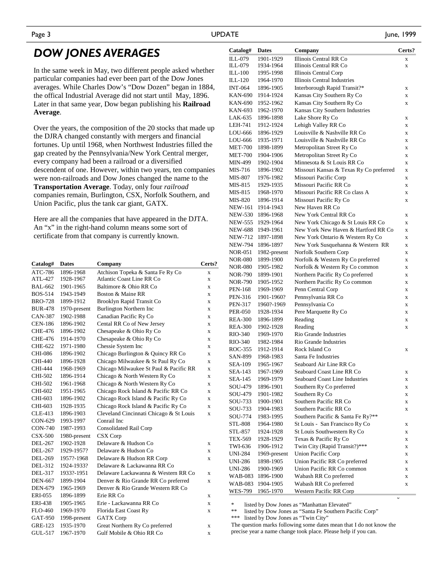### *DOW JONES AVERAGES*

In the same week in May, two different people asked whether particular companies had ever been part of the Dow Jones averages. While Charles Dow's "Dow Dozen" began in 1884, the offical Industrial Average did not start until May, 1896. Later in that same year, Dow began publishing his **Railroad Average**.

Over the years, the composition of the 20 stocks that made up the DJRA changed constantly with mergers and financial fortunes. Up until 1968, when Northwest Industries filled the gap created by the Pennsylvania/New York Central merger, every company had been a railroad or a diversified descendent of one. However, within two years, ten companies were non-railroads and Dow Jones changed the name to the **Transportation Average**. Today, only four *railroad* companies remain, Burlington, CSX, Norfolk Southern, and Union Pacific, plus the tank car giant, GATX.

Here are all the companies that have appeared in the DJTA. An "x" in the right-hand column means some sort of certificate from that company is currently known.

| Catalog#       | <b>Dates</b> | Company                                 | Certs?      |
|----------------|--------------|-----------------------------------------|-------------|
| ATC-786        | 1896-1968    | Atchison Topeka & Santa Fe Ry Co        | X           |
| ATL-427        | 1928-1967    | Atlantic Coast Line RR Co.              | X           |
| <b>BAL-662</b> | 1901-1965    | Baltimore & Ohio RR Co.                 | X           |
| <b>BOS-514</b> | 1943-1949    | Boston & Maine RR                       | X           |
| <b>BRO-728</b> | 1899-1912    | <b>Brooklyn Rapid Transit Co</b>        | X           |
| <b>BUR-478</b> | 1970-present | Burlington Northern Inc                 | X           |
| CAN-387        | 1902-1988    | Canadian Pacific Ry Co                  | X           |
| <b>CEN-186</b> | 1896-1902    | Cental RR Co of New Jersey              | X           |
| CHE-476        | 1896-1902    | Chesapeake & Ohio Ry Co                 | X           |
| CHE-476        | 1914-1970    | Chesapeake & Ohio Ry Co                 | $\mathbf x$ |
| CHE-622        | 1971-1980    | Chessie System Inc                      | X           |
| CHI-086        | 1896-1902    | Chicago Burlington & Quincy RR Co       | X           |
| <b>CHI-440</b> | 1896-1928    | Chicago Milwaukee & St Paul Ry Co       | $\mathbf x$ |
| CHI-444        | 1968-1969    | Chicago Milwaukee St Paul & Pacific RR  | $\mathbf x$ |
| CHI-502        | 1896-1914    | Chicago & North Western Ry Co           | $\mathbf x$ |
| CHI-502        | 1961-1968    | Chicago & North Western Ry Co           | X           |
| CHI-602        | 1951-1965    | Chicago Rock Island & Pacific RR Co     | X           |
| CHI-603        | 1896-1902    | Chicago Rock Island & Pacific Ry Co     | $\mathbf x$ |
| CHI-603        | 1928-1935    | Chicago Rock Island & Pacific Ry Co     | X           |
| CLE-413        | 1896-1903    | Cleveland Cincinnati Chicago & St Louis | $\mathbf x$ |
| CON-629        | 1993-1997    | Conrail Inc.                            |             |
| <b>CON-740</b> | 1987-1993    | <b>Consolidated Rail Corp</b>           |             |
| $CSX-500$      | 1980-present | CSX Corp                                |             |
| DEL-267        | 1902-1928    | Delaware & Hudson Co.                   | X           |
| DEL-267        | 1929-1957?   | Delaware & Hudson Co                    | X           |
| <b>DEL-269</b> | 1957?-1968   | Delaware & Hudson RR Corp               | X           |
| DEL-312        | 1924-1933?   | Delaware & Lackawanna RR Co.            |             |
| DEL-317        | 1933?-1951   | Delaware Lackawanna & Western RR Co.    | X           |
| <b>DEN-667</b> | 1899-1904    | Denver & Rio Grande RR Co preferred     | X           |
| <b>DEN-679</b> | 1965-1969    | Denver & Rio Grande Western RR Co       |             |
| ERI-055        | 1896-1899    | Erie RR Co                              | X           |
| ERI-438        | 1905-1965    | Erie - Lackawanna RR Co                 | X           |
| <b>FLO-460</b> | 1969-1970    | Florida East Coast Ry                   | $\mathbf x$ |
| GAT-950        | 1998-present | <b>GATX</b> Corp                        |             |
| <b>GRE-123</b> | 1935-1970    | Great Northern Ry Co preferred          | X           |
| GUL-517        | 1967-1970    | Gulf Mobile & Ohio RR Co                | X           |

| Catalog#                  | <b>Dates</b> | Company                                 | Certs? |
|---------------------------|--------------|-----------------------------------------|--------|
| ILL-079                   | 1901-1929    | Illinois Central RR Co                  | X      |
| ILL-079                   | 1934-1964    | Illinois Central RR Co                  | X      |
| ILL-100                   | 1995-1998    | Illinois Central Corp                   |        |
| ILL-120                   | 1964-1970    | Illinois Central Industries             |        |
| <b>INT-064</b>            | 1896-1905    | Interborough Rapid Transit?*            | X      |
| KAN-690                   | 1914-1924    | Kansas City Southern Ry Co              | X      |
| KAN-690                   | 1952-1962    | Kansas City Southern Ry Co              | X      |
| KAN-693                   | 1962-1970    | Kansas City Southern Industries         |        |
| LAK-635                   | 1896-1898    | Lake Shore Ry Co                        | X      |
| LEH-741                   | 1912-1924    | Lehigh Valley RR Co                     | X      |
| LOU-666                   | 1896-1929    | Louisville & Nashville RR Co            | X      |
| LOU-666                   | 1935-1971    | Louisville & Nashville RR Co            | X      |
| <b>MET-700</b>            | 1898-1899    | Metropolitan Street Ry Co               | X      |
| <b>MET-700</b>            | 1904-1906    | Metropolitan Street Ry Co               | X      |
| MIN-499                   | 1902-1904    | Minnesota & St Louis RR Co              | X      |
| MIS-716                   | 1896-1902    | Missouri Kansas & Texas Ry Co preferred | X      |
| <b>MIS-807</b>            | 1976-1982    | Missouri Pacific Corp                   | X      |
| MIS-815                   | 1929-1935    | Missouri Pacific RR Co                  | X      |
| MIS-815                   | 1968-1970    | Missouri Pacific RR Co class A          | X      |
| MIS-820                   | 1896-1914    | Missouri Pacific Ry Co                  | X      |
| <b>NEW-161</b>            | 1914-1943    | New Haven RR Co.                        |        |
|                           | 1896-1968    | New York Central RR Co                  |        |
| NEW-530<br><b>NEW-555</b> | 1929-1964    | New York Chicago & St Louis RR Co       | X      |
|                           |              |                                         | X      |
| <b>NEW-688</b>            | 1949-1961    | New York New Haven & Hartford RR Co     | X      |
| NEW-712                   | 1897-1898    | New York Ontario & Western Ry Co        | X      |
| <b>NEW-794</b>            | 1896-1897    | New York Susquehanna & Western RR       | X      |
| <b>NOR-051</b>            | 1982-present | Norfolk Southern Corp                   | X      |
| <b>NOR-080</b>            | 1899-1900    | Norfolk & Western Ry Co preferred       | X      |
| <b>NOR-080</b>            | 1905-1982    | Norfolk & Western Ry Co common          | X      |
| NOR-790                   | 1899-1901    | Northern Pacific Ry Co preferred        | X      |
| <b>NOR-790</b>            | 1905-1952    | Northern Pacific Ry Co common           | X      |
| <b>PEN-168</b>            | 1969-1969    | Penn Central Corp                       | X      |
| <b>PEN-316</b>            | 1901-1960?   | Pennsylvania RR Co                      | X      |
| <b>PEN-317</b>            | 1960?-1969   | Pennsylvania Co                         | X      |
| <b>PER-050</b>            | 1928-1934    | Pere Marquette Ry Co                    | X      |
| <b>REA-300</b>            | 1896-1899    | Reading                                 | X      |
| <b>REA-300</b>            | 1902-1928    | Reading                                 | X      |
| RIO-340                   | 1969-1970    | Rio Grande Industries                   |        |
| RIO-340                   | 1982-1984    | Rio Grande Industries                   |        |
| ROC-355                   | 1912-1914    | Rock Island Co                          | X      |
| SAN-899                   | 1968-1983    | Santa Fe Industries                     |        |
| SEA-109                   | 1965-1967    | Seaboard Air Line RR Co                 |        |
| <b>SEA-143</b>            | 1967-1969    | Seaboard Coast Line RR Co               | x      |
| SEA-145                   | 1969-1979    | Seaboard Coast Line Industries          | X      |
| SOU-479                   | 1896-1901    | Southern Ry Co preferred                | X      |
| SOU-479                   | 1901-1982    | Southern Ry Co                          | X      |
| SOU-733                   | 1900-1901    | Southern Pacific RR Co                  | X      |
| SOU-733                   | 1904-1983    | Southern Pacific RR Co                  | X      |
| SOU-774                   | 1983-1995    | Southern Pacific & Santa Fe Ry?**       |        |
|                           | 1964-1980    | St Louis - San Francisco Ry Co          |        |
| STL-808<br>STL-857        |              |                                         | x      |
|                           | 1924-1928    | St Louis Southwestern Ry Co             | x      |
| TEX-569                   | 1928-1929    | Texas & Pacific Ry Co                   | x      |
| TWI-636                   | 1906-1912    | Twin City (Rapid Transit?)***           | X      |
| UNI-284                   | 1969-present | <b>Union Pacific Corp</b>               | X      |
| UNI-286                   | 1898-1905    | Union Pacific RR Co preferred           | X      |
| UNI-286                   | 1900-1969    | Union Pacific RR Co common              | X      |
| WAB-083                   | 1896-1900    | Wabash RR Co preferred                  | X      |
| WAB-083                   | 1904-1905    | Wabash RR Co preferred                  | X      |
| WES-799                   | 1965-1970    | Western Pacific RR Corp                 |        |
|                           |              |                                         | v      |

\* listed by Dow Jones as "Manhattan Elevated"

listed by Dow Jones as "Santa Fe Southern Pacific Corp"

\*\*\* listed by Dow Jones as "Twin City"

The question marks following some dates mean that I do not know the

precise year a name change took place. Please help if you can.